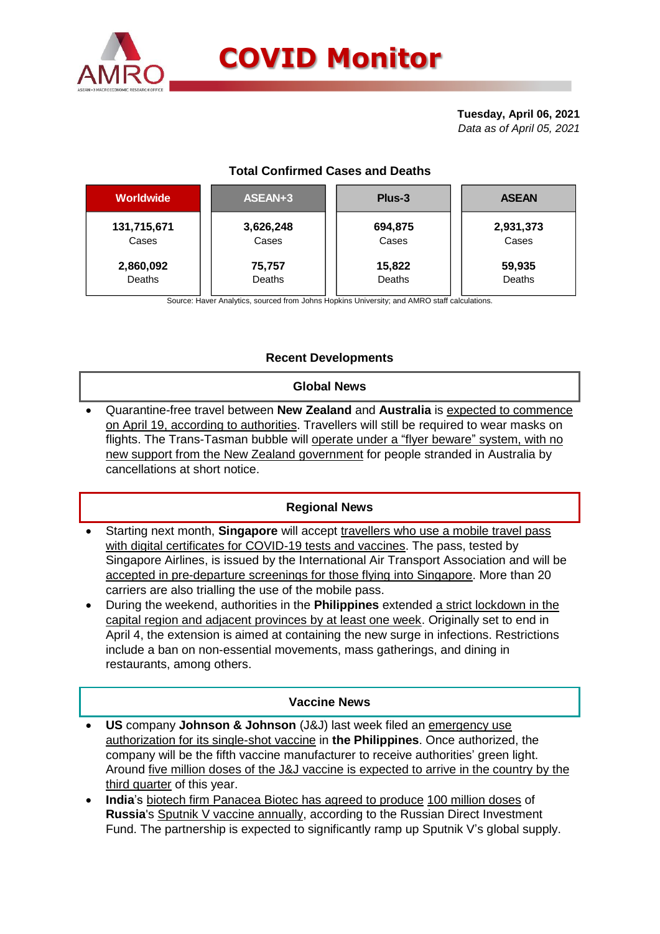

# **COVID Monitor**

#### **Tuesday, April 06, 2021** *Data as of April 05, 2021*

## **Total Confirmed Cases and Deaths**

| <b>Worldwide</b> | ASEAN+3   | Plus-3  | <b>ASEAN</b> |  |  |
|------------------|-----------|---------|--------------|--|--|
| 131,715,671      | 3,626,248 | 694,875 | 2,931,373    |  |  |
| Cases            | Cases     | Cases   | Cases        |  |  |
| 2,860,092        | 75,757    | 15,822  | 59,935       |  |  |
| Deaths           | Deaths    | Deaths  | Deaths       |  |  |

Source: Haver Analytics, sourced from Johns Hopkins University; and AMRO staff calculations.

### **Recent Developments**

#### **Global News**

 Quarantine-free travel between **New Zealand** and **Australia** is expected to commence on April 19, according to authorities. Travellers will still be required to wear masks on flights. The Trans-Tasman bubble will operate under a "flyer beware" system, with no new support from the New Zealand government for people stranded in Australia by cancellations at short notice.

#### **Regional News**

- Starting next month, **Singapore** will accept travellers who use a mobile travel pass with digital certificates for COVID-19 tests and vaccines. The pass, tested by Singapore Airlines, is issued by the International Air Transport Association and will be accepted in pre-departure screenings for those flying into Singapore. More than 20 carriers are also trialling the use of the mobile pass.
- During the weekend, authorities in the **Philippines** extended a strict lockdown in the capital region and adjacent provinces by at least one week. Originally set to end in April 4, the extension is aimed at containing the new surge in infections. Restrictions include a ban on non-essential movements, mass gatherings, and dining in restaurants, among others.

#### **Vaccine News**

- **US** company **Johnson & Johnson** (J&J) last week filed an emergency use authorization for its single-shot vaccine in **the Philippines**. Once authorized, the company will be the fifth vaccine manufacturer to receive authorities' green light. Around five million doses of the J&J vaccine is expected to arrive in the country by the third quarter of this year.
- **India**'s biotech firm Panacea Biotec has agreed to produce 100 million doses of **Russia**'s Sputnik V vaccine annually, according to the Russian Direct Investment Fund. The partnership is expected to significantly ramp up Sputnik V's global supply.